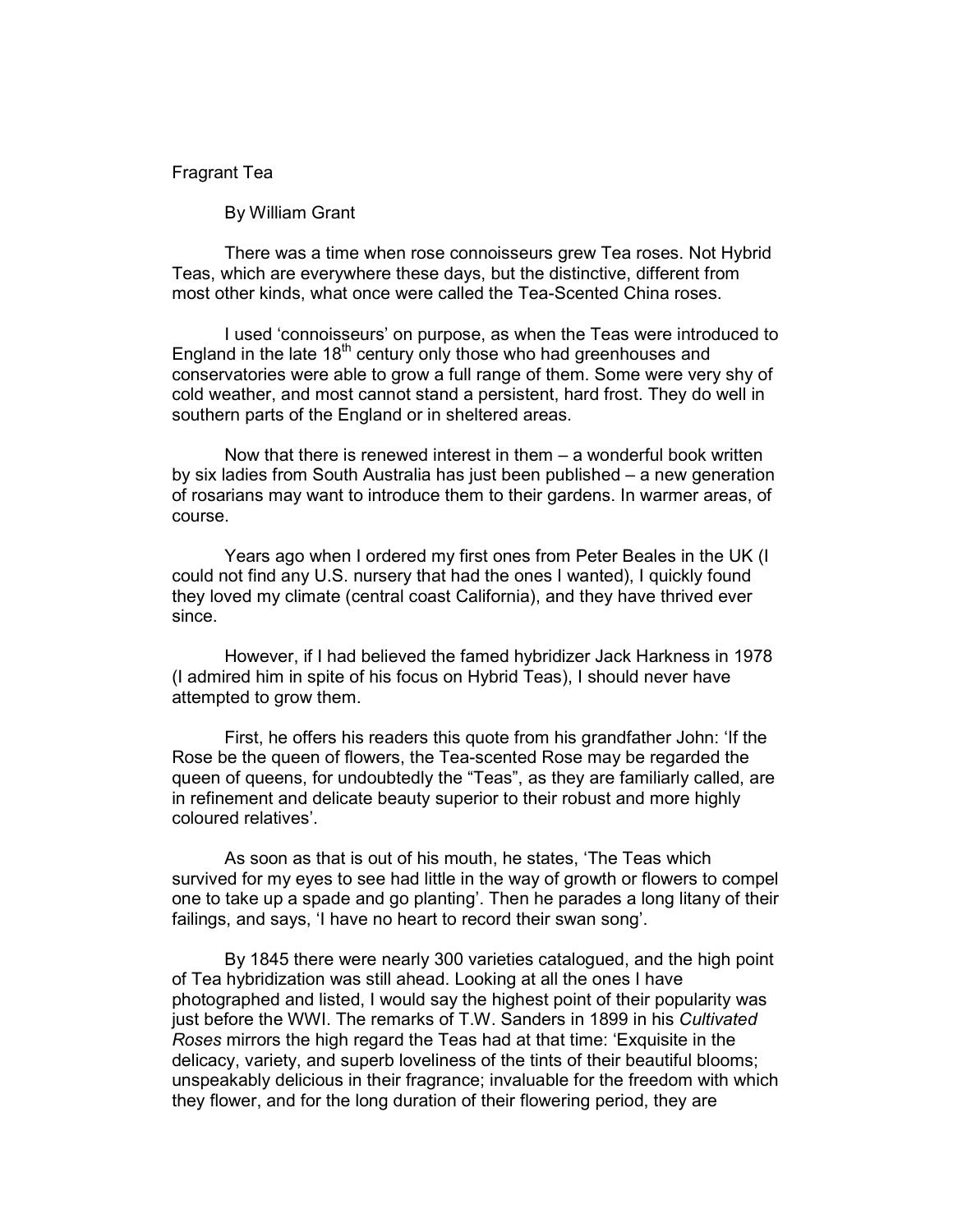## Fragrant Tea

By William Grant

 There was a time when rose connoisseurs grew Tea roses. Not Hybrid Teas, which are everywhere these days, but the distinctive, different from most other kinds, what once were called the Tea-Scented China roses.

 I used 'connoisseurs' on purpose, as when the Teas were introduced to England in the late  $18<sup>th</sup>$  century only those who had greenhouses and conservatories were able to grow a full range of them. Some were very shy of cold weather, and most cannot stand a persistent, hard frost. They do well in southern parts of the England or in sheltered areas.

 Now that there is renewed interest in them – a wonderful book written by six ladies from South Australia has just been published – a new generation of rosarians may want to introduce them to their gardens. In warmer areas, of course.

 Years ago when I ordered my first ones from Peter Beales in the UK (I could not find any U.S. nursery that had the ones I wanted), I quickly found they loved my climate (central coast California), and they have thrived ever since.

 However, if I had believed the famed hybridizer Jack Harkness in 1978 (I admired him in spite of his focus on Hybrid Teas), I should never have attempted to grow them.

 First, he offers his readers this quote from his grandfather John: 'If the Rose be the queen of flowers, the Tea-scented Rose may be regarded the queen of queens, for undoubtedly the "Teas", as they are familiarly called, are in refinement and delicate beauty superior to their robust and more highly coloured relatives'.

 As soon as that is out of his mouth, he states, 'The Teas which survived for my eyes to see had little in the way of growth or flowers to compel one to take up a spade and go planting'. Then he parades a long litany of their failings, and says, 'I have no heart to record their swan song'.

 By 1845 there were nearly 300 varieties catalogued, and the high point of Tea hybridization was still ahead. Looking at all the ones I have photographed and listed, I would say the highest point of their popularity was just before the WWI. The remarks of T.W. Sanders in 1899 in his Cultivated Roses mirrors the high regard the Teas had at that time: 'Exquisite in the delicacy, variety, and superb loveliness of the tints of their beautiful blooms; unspeakably delicious in their fragrance; invaluable for the freedom with which they flower, and for the long duration of their flowering period, they are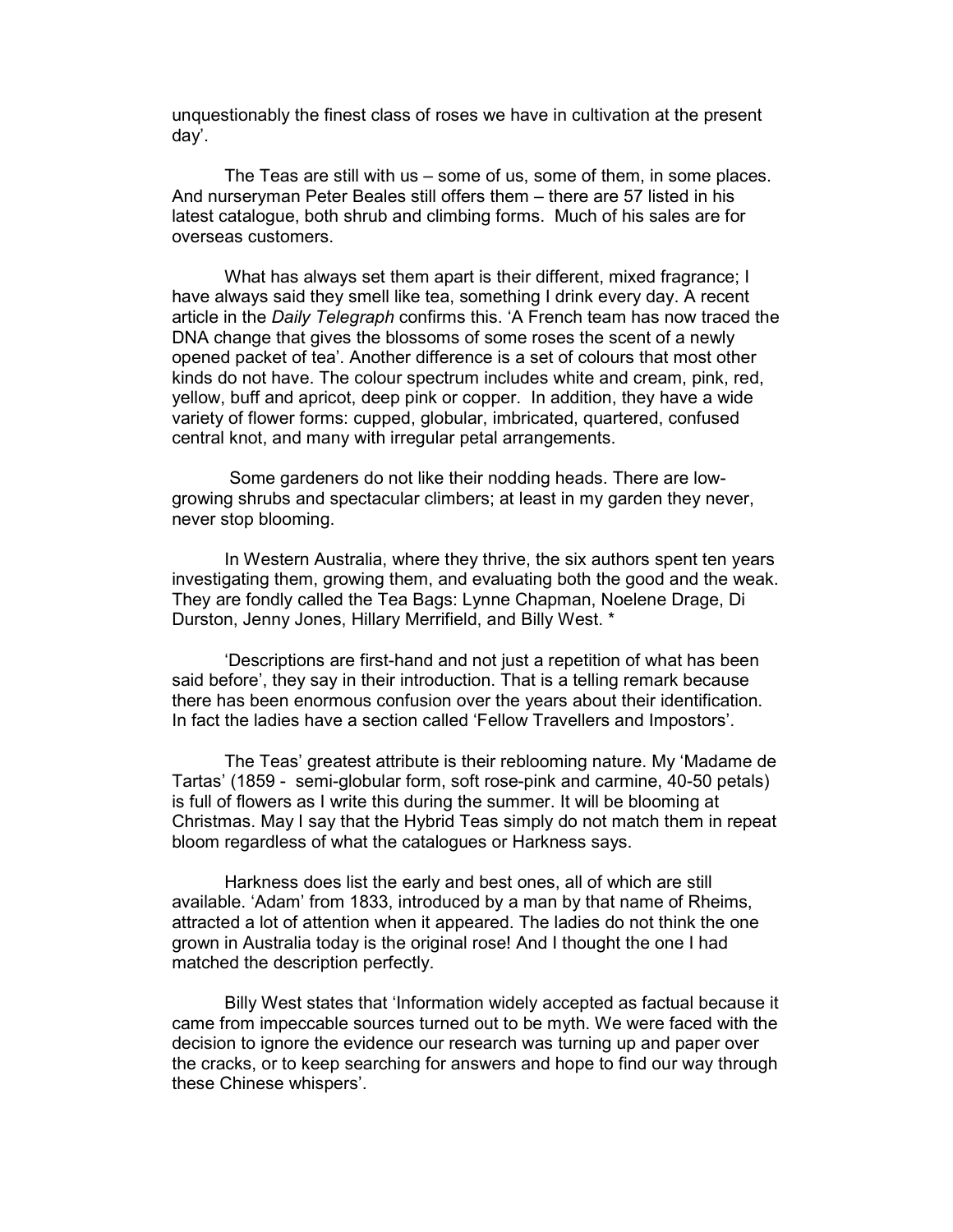unquestionably the finest class of roses we have in cultivation at the present day'.

 The Teas are still with us – some of us, some of them, in some places. And nurseryman Peter Beales still offers them – there are 57 listed in his latest catalogue, both shrub and climbing forms. Much of his sales are for overseas customers.

 What has always set them apart is their different, mixed fragrance; I have always said they smell like tea, something I drink every day. A recent article in the Daily Telegraph confirms this. 'A French team has now traced the DNA change that gives the blossoms of some roses the scent of a newly opened packet of tea'. Another difference is a set of colours that most other kinds do not have. The colour spectrum includes white and cream, pink, red, yellow, buff and apricot, deep pink or copper. In addition, they have a wide variety of flower forms: cupped, globular, imbricated, quartered, confused central knot, and many with irregular petal arrangements.

 Some gardeners do not like their nodding heads. There are lowgrowing shrubs and spectacular climbers; at least in my garden they never, never stop blooming.

 In Western Australia, where they thrive, the six authors spent ten years investigating them, growing them, and evaluating both the good and the weak. They are fondly called the Tea Bags: Lynne Chapman, Noelene Drage, Di Durston, Jenny Jones, Hillary Merrifield, and Billy West. \*

 'Descriptions are first-hand and not just a repetition of what has been said before', they say in their introduction. That is a telling remark because there has been enormous confusion over the years about their identification. In fact the ladies have a section called 'Fellow Travellers and Impostors'.

 The Teas' greatest attribute is their reblooming nature. My 'Madame de Tartas' (1859 - semi-globular form, soft rose-pink and carmine, 40-50 petals) is full of flowers as I write this during the summer. It will be blooming at Christmas. May I say that the Hybrid Teas simply do not match them in repeat bloom regardless of what the catalogues or Harkness says.

 Harkness does list the early and best ones, all of which are still available. 'Adam' from 1833, introduced by a man by that name of Rheims, attracted a lot of attention when it appeared. The ladies do not think the one grown in Australia today is the original rose! And I thought the one I had matched the description perfectly.

 Billy West states that 'Information widely accepted as factual because it came from impeccable sources turned out to be myth. We were faced with the decision to ignore the evidence our research was turning up and paper over the cracks, or to keep searching for answers and hope to find our way through these Chinese whispers'.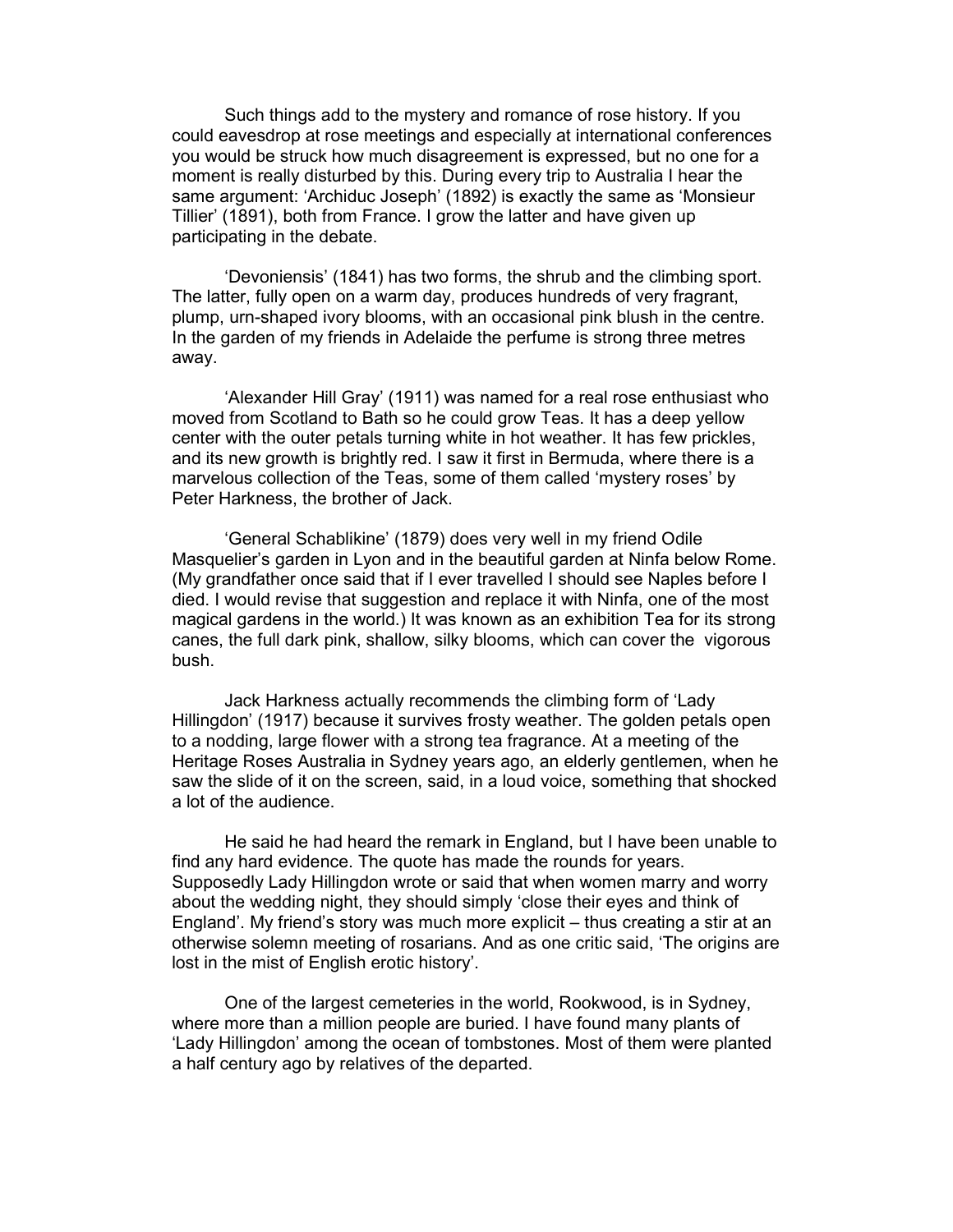Such things add to the mystery and romance of rose history. If you could eavesdrop at rose meetings and especially at international conferences you would be struck how much disagreement is expressed, but no one for a moment is really disturbed by this. During every trip to Australia I hear the same argument: 'Archiduc Joseph' (1892) is exactly the same as 'Monsieur Tillier' (1891), both from France. I grow the latter and have given up participating in the debate.

 'Devoniensis' (1841) has two forms, the shrub and the climbing sport. The latter, fully open on a warm day, produces hundreds of very fragrant, plump, urn-shaped ivory blooms, with an occasional pink blush in the centre. In the garden of my friends in Adelaide the perfume is strong three metres away.

 'Alexander Hill Gray' (1911) was named for a real rose enthusiast who moved from Scotland to Bath so he could grow Teas. It has a deep yellow center with the outer petals turning white in hot weather. It has few prickles, and its new growth is brightly red. I saw it first in Bermuda, where there is a marvelous collection of the Teas, some of them called 'mystery roses' by Peter Harkness, the brother of Jack.

 'General Schablikine' (1879) does very well in my friend Odile Masquelier's garden in Lyon and in the beautiful garden at Ninfa below Rome. (My grandfather once said that if I ever travelled I should see Naples before I died. I would revise that suggestion and replace it with Ninfa, one of the most magical gardens in the world.) It was known as an exhibition Tea for its strong canes, the full dark pink, shallow, silky blooms, which can cover the vigorous bush.

 Jack Harkness actually recommends the climbing form of 'Lady Hillingdon' (1917) because it survives frosty weather. The golden petals open to a nodding, large flower with a strong tea fragrance. At a meeting of the Heritage Roses Australia in Sydney years ago, an elderly gentlemen, when he saw the slide of it on the screen, said, in a loud voice, something that shocked a lot of the audience.

He said he had heard the remark in England, but I have been unable to find any hard evidence. The quote has made the rounds for years. Supposedly Lady Hillingdon wrote or said that when women marry and worry about the wedding night, they should simply 'close their eyes and think of England'. My friend's story was much more explicit – thus creating a stir at an otherwise solemn meeting of rosarians. And as one critic said, 'The origins are lost in the mist of English erotic history'.

 One of the largest cemeteries in the world, Rookwood, is in Sydney, where more than a million people are buried. I have found many plants of 'Lady Hillingdon' among the ocean of tombstones. Most of them were planted a half century ago by relatives of the departed.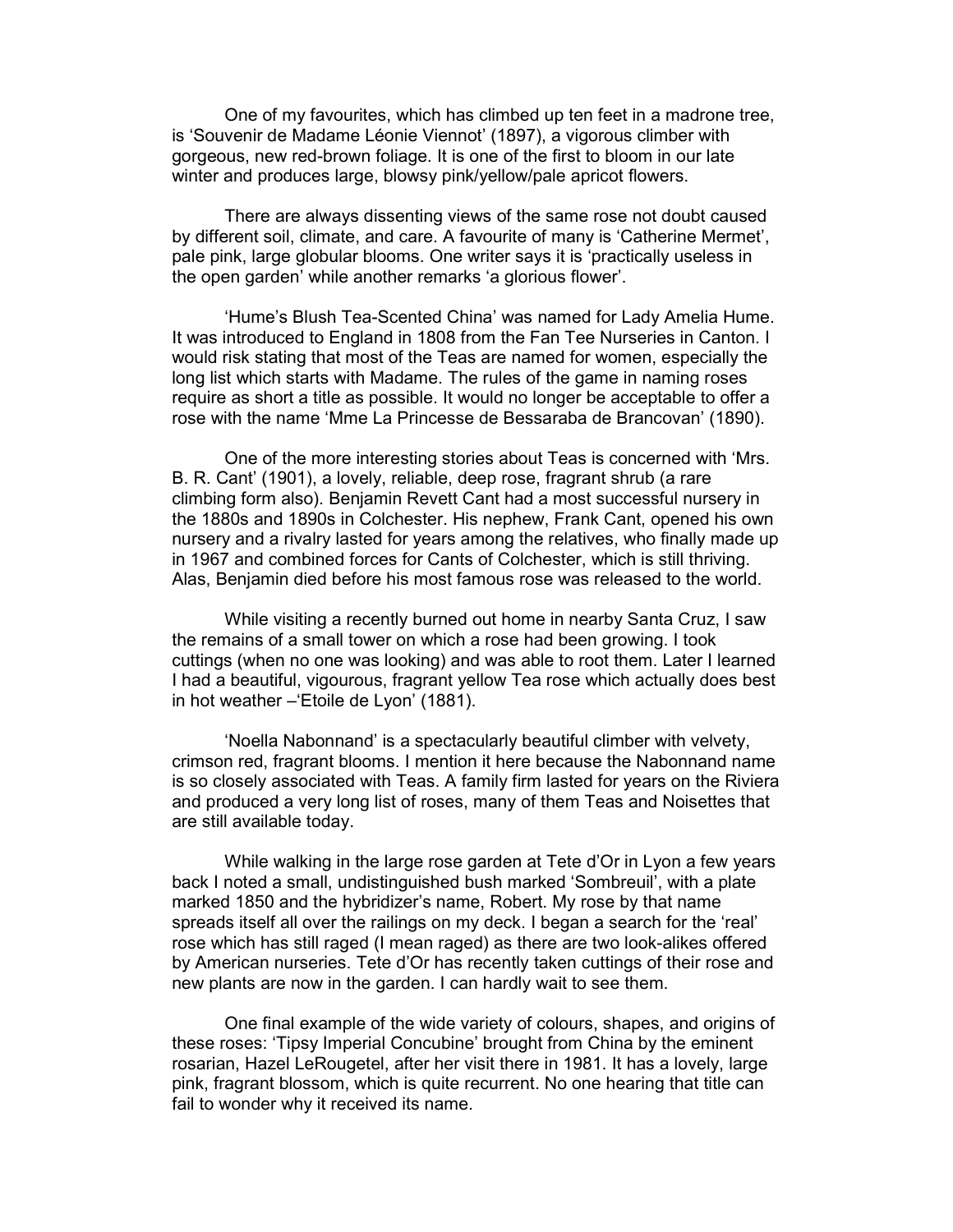One of my favourites, which has climbed up ten feet in a madrone tree, is 'Souvenir de Madame Léonie Viennot' (1897), a vigorous climber with gorgeous, new red-brown foliage. It is one of the first to bloom in our late winter and produces large, blowsy pink/yellow/pale apricot flowers.

 There are always dissenting views of the same rose not doubt caused by different soil, climate, and care. A favourite of many is 'Catherine Mermet', pale pink, large globular blooms. One writer says it is 'practically useless in the open garden' while another remarks 'a glorious flower'.

 'Hume's Blush Tea-Scented China' was named for Lady Amelia Hume. It was introduced to England in 1808 from the Fan Tee Nurseries in Canton. I would risk stating that most of the Teas are named for women, especially the long list which starts with Madame. The rules of the game in naming roses require as short a title as possible. It would no longer be acceptable to offer a rose with the name 'Mme La Princesse de Bessaraba de Brancovan' (1890).

 One of the more interesting stories about Teas is concerned with 'Mrs. B. R. Cant' (1901), a lovely, reliable, deep rose, fragrant shrub (a rare climbing form also). Benjamin Revett Cant had a most successful nursery in the 1880s and 1890s in Colchester. His nephew, Frank Cant, opened his own nursery and a rivalry lasted for years among the relatives, who finally made up in 1967 and combined forces for Cants of Colchester, which is still thriving. Alas, Benjamin died before his most famous rose was released to the world.

 While visiting a recently burned out home in nearby Santa Cruz, I saw the remains of a small tower on which a rose had been growing. I took cuttings (when no one was looking) and was able to root them. Later I learned I had a beautiful, vigourous, fragrant yellow Tea rose which actually does best in hot weather –'Etoile de Lyon' (1881).

 'Noella Nabonnand' is a spectacularly beautiful climber with velvety, crimson red, fragrant blooms. I mention it here because the Nabonnand name is so closely associated with Teas. A family firm lasted for years on the Riviera and produced a very long list of roses, many of them Teas and Noisettes that are still available today.

 While walking in the large rose garden at Tete d'Or in Lyon a few years back I noted a small, undistinguished bush marked 'Sombreuil', with a plate marked 1850 and the hybridizer's name, Robert. My rose by that name spreads itself all over the railings on my deck. I began a search for the 'real' rose which has still raged (I mean raged) as there are two look-alikes offered by American nurseries. Tete d'Or has recently taken cuttings of their rose and new plants are now in the garden. I can hardly wait to see them.

 One final example of the wide variety of colours, shapes, and origins of these roses: 'Tipsy Imperial Concubine' brought from China by the eminent rosarian, Hazel LeRougetel, after her visit there in 1981. It has a lovely, large pink, fragrant blossom, which is quite recurrent. No one hearing that title can fail to wonder why it received its name.